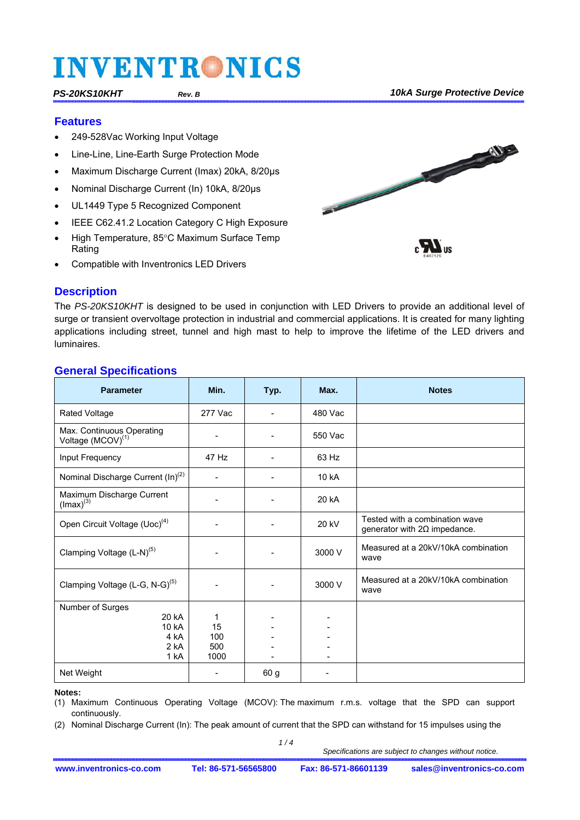#### **Features**

- 249-528Vac Working Input Voltage
- Line-Line, Line-Earth Surge Protection Mode
- Maximum Discharge Current (Imax) 20kA, 8/20μs
- Nominal Discharge Current (In) 10kA, 8/20μs
- UL1449 Type 5 Recognized Component
- IEEE C62.41.2 Location Category C High Exposure
- High Temperature, 85°C Maximum Surface Temp Rating
- Compatible with Inventronics LED Drivers



The *PS-20KS10KHT* is designed to be used in conjunction with LED Drivers to provide an additional level of surge or transient overvoltage protection in industrial and commercial applications. It is created for many lighting applications including street, tunnel and high mast to help to improve the lifetime of the LED drivers and luminaires.

### **General Specifications**

| <b>Parameter</b>                                           | Min.        | Typ.                     | Max.    | <b>Notes</b>                                                          |
|------------------------------------------------------------|-------------|--------------------------|---------|-----------------------------------------------------------------------|
| <b>Rated Voltage</b>                                       | 277 Vac     |                          | 480 Vac |                                                                       |
| Max. Continuous Operating<br>Voltage (MCOV) <sup>(1)</sup> |             |                          | 550 Vac |                                                                       |
| Input Frequency                                            | 47 Hz       |                          | 63 Hz   |                                                                       |
| Nominal Discharge Current (In) <sup>(2)</sup>              |             |                          | 10 kA   |                                                                       |
| Maximum Discharge Current<br>$($ lmax $)^{(3)}$            |             |                          | 20 kA   |                                                                       |
| Open Circuit Voltage (Uoc) <sup>(4)</sup>                  |             | $\overline{\phantom{a}}$ | 20 kV   | Tested with a combination wave<br>generator with $2\Omega$ impedance. |
| Clamping Voltage (L-N) <sup>(5)</sup>                      |             |                          | 3000 V  | Measured at a 20kV/10kA combination<br>wave                           |
| Clamping Voltage (L-G, N-G) <sup>(5)</sup>                 |             |                          | 3000 V  | Measured at a 20kV/10kA combination<br>wave                           |
| Number of Surges                                           |             |                          |         |                                                                       |
| 20 kA                                                      | 1           |                          |         |                                                                       |
| 10 kA                                                      | 15          |                          |         |                                                                       |
| 4 kA                                                       | 100         |                          |         |                                                                       |
| 2 kA<br>1 kA                                               | 500<br>1000 |                          |         |                                                                       |
|                                                            |             |                          |         |                                                                       |
| Net Weight                                                 |             | 60 <sub>g</sub>          |         |                                                                       |

#### **Notes:**

(1) Maximum Continuous Operating Voltage (MCOV): The maximum r.m.s. voltage that the SPD can support continuously.

(2) Nominal Discharge Current (In): The peak amount of current that the SPD can withstand for 15 impulses using the

 *1 / 4*

 *Specifications are subject to changes without notice.* 

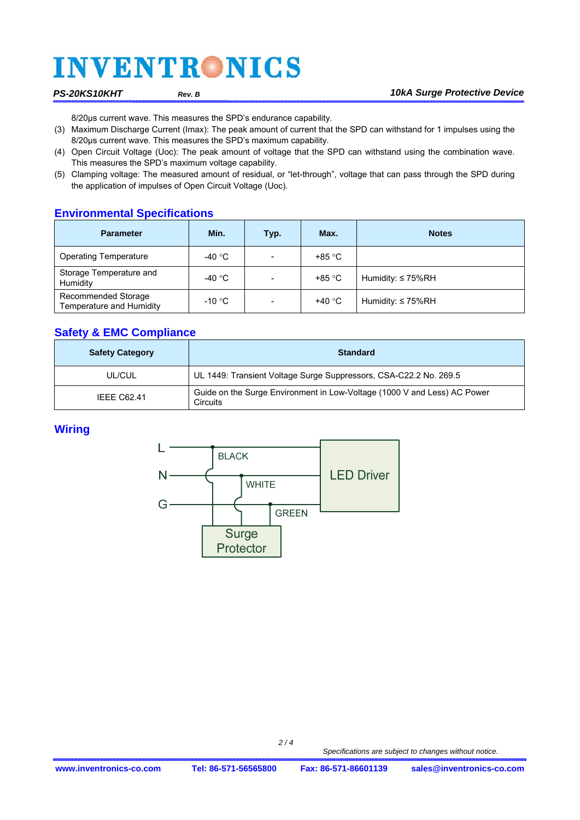8/20μs current wave. This measures the SPD's endurance capability.

- (3) Maximum Discharge Current (Imax): The peak amount of current that the SPD can withstand for 1 impulses using the 8/20μs current wave. This measures the SPD's maximum capability.
- (4) Open Circuit Voltage (Uoc): The peak amount of voltage that the SPD can withstand using the combination wave. This measures the SPD's maximum voltage capability.
- (5) Clamping voltage: The measured amount of residual, or "let-through", voltage that can pass through the SPD during the application of impulses of Open Circuit Voltage (Uoc).

### **Environmental Specifications**

| <b>Parameter</b>                                | Min.             | Typ.                     | Max.   | <b>Notes</b>            |  |
|-------------------------------------------------|------------------|--------------------------|--------|-------------------------|--|
| <b>Operating Temperature</b>                    | -40 $^{\circ}$ C |                          | +85 °C |                         |  |
| Storage Temperature and<br>Humidity             | -40 $^{\circ}$ C | $\overline{\phantom{a}}$ | +85 °C | Humidity: $\leq 75\%RH$ |  |
| Recommended Storage<br>Temperature and Humidity | $-10 °C$         |                          | +40 °C | Humidity: $\leq 75\%RH$ |  |

### **Safety & EMC Compliance**

| <b>Safety Category</b> | <b>Standard</b>                                                                      |  |  |  |
|------------------------|--------------------------------------------------------------------------------------|--|--|--|
| UL/CUL                 | UL 1449: Transient Voltage Surge Suppressors, CSA-C22.2 No. 269.5                    |  |  |  |
| <b>IEEE C62.41</b>     | Guide on the Surge Environment in Low-Voltage (1000 V and Less) AC Power<br>Circuits |  |  |  |

### **Wiring**

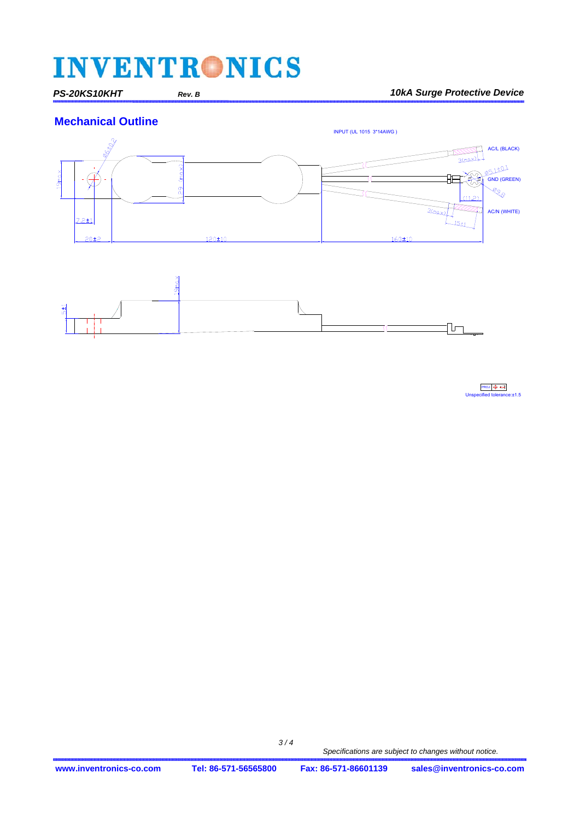*PS-20KS10KHT Rev. B 10kA Surge Protective Device*





 $PROJ \bigoplus$ Unspecified tolerance:±1.5